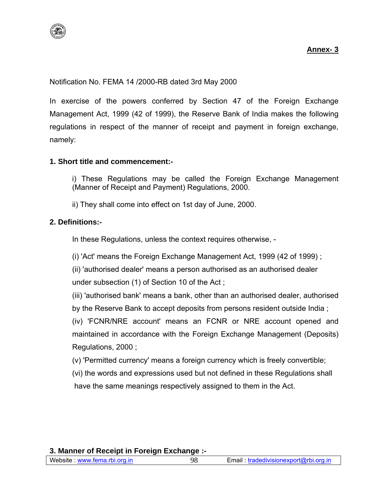

Notification No. FEMA 14 /2000-RB dated 3rd May 2000

In exercise of the powers conferred by Section 47 of the Foreign Exchange Management Act, 1999 (42 of 1999), the Reserve Bank of India makes the following regulations in respect of the manner of receipt and payment in foreign exchange, namely:

#### **1. Short title and commencement:-**

i) These Regulations may be called the Foreign Exchange Management (Manner of Receipt and Payment) Regulations, 2000.

ii) They shall come into effect on 1st day of June, 2000.

#### **2. Definitions:-**

In these Regulations, unless the context requires otherwise, -

(i) 'Act' means the Foreign Exchange Management Act, 1999 (42 of 1999) ;

(ii) 'authorised dealer' means a person authorised as an authorised dealer under subsection (1) of Section 10 of the Act ;

(iii) 'authorised bank' means a bank, other than an authorised dealer, authorised by the Reserve Bank to accept deposits from persons resident outside India ;

(iv) 'FCNR/NRE account' means an FCNR or NRE account opened and maintained in accordance with the Foreign Exchange Management (Deposits) Regulations, 2000 ;

(v) 'Permitted currency' means a foreign currency which is freely convertible;

(vi) the words and expressions used but not defined in these Regulations shall

have the same meanings respectively assigned to them in the Act.

## **3. Manner of Receipt in Foreign Exchange :-**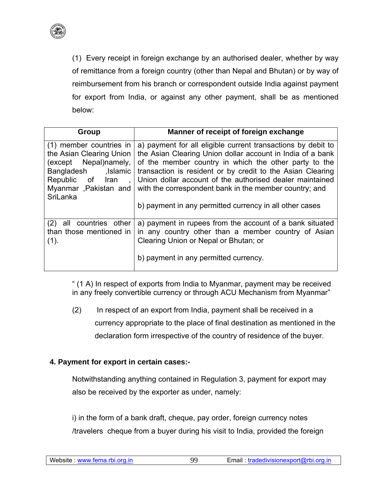

(1) Every receipt in foreign exchange by an authorised dealer, whether by way of remittance from a foreign country (other than Nepal and Bhutan) or by way of reimbursement from his branch or correspondent outside India against payment for export from India, or against any other payment, shall be as mentioned below:

| Group                                                                                                                                                                                        | Manner of receipt of foreign exchange                                                                                                                                                                                                                                                                                                                                                                                              |
|----------------------------------------------------------------------------------------------------------------------------------------------------------------------------------------------|------------------------------------------------------------------------------------------------------------------------------------------------------------------------------------------------------------------------------------------------------------------------------------------------------------------------------------------------------------------------------------------------------------------------------------|
| (1) member countries in<br>the Asian Clearing Union<br>Nepal)namely,<br>except)<br>Bangladesh<br>lslamic.<br>Republic of Iran<br>$\sim 10^{-1}$<br>Myanmar , Pakistan and<br><b>SriLanka</b> | a) payment for all eligible current transactions by debit to<br>the Asian Clearing Union dollar account in India of a bank<br>of the member country in which the other party to the<br>transaction is resident or by credit to the Asian Clearing<br>Union dollar account of the authorised dealer maintained<br>with the correspondent bank in the member country; and<br>b) payment in any permitted currency in all other cases |
| all countries other<br>(2)<br>than those mentioned in<br>(1).                                                                                                                                | a) payment in rupees from the account of a bank situated<br>in any country other than a member country of Asian<br>Clearing Union or Nepal or Bhutan; or<br>b) payment in any permitted currency.                                                                                                                                                                                                                                  |

" (1 A) In respect of exports from India to Myanmar, payment may be received in any freely convertible currency or through ACU Mechanism from Myanmar"

(2) In respect of an export from India, payment shall be received in a currency appropriate to the place of final destination as mentioned in the declaration form irrespective of the country of residence of the buyer.

# **4. Payment for export in certain cases:-**

Notwithstanding anything contained in Regulation 3, payment for export may also be received by the exporter as under, namely:

i) in the form of a bank draft, cheque, pay order, foreign currency notes /travelers cheque from a buyer during his visit to India, provided the foreign

99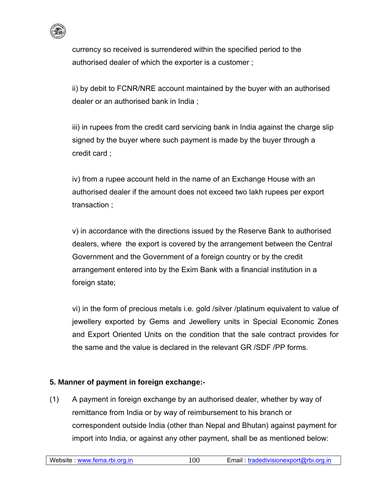

currency so received is surrendered within the specified period to the authorised dealer of which the exporter is a customer ;

ii) by debit to FCNR/NRE account maintained by the buyer with an authorised dealer or an authorised bank in India ;

iii) in rupees from the credit card servicing bank in India against the charge slip signed by the buyer where such payment is made by the buyer through a credit card ;

iv) from a rupee account held in the name of an Exchange House with an authorised dealer if the amount does not exceed two lakh rupees per export transaction ;

v) in accordance with the directions issued by the Reserve Bank to authorised dealers, where the export is covered by the arrangement between the Central Government and the Government of a foreign country or by the credit arrangement entered into by the Exim Bank with a financial institution in a foreign state;

vi) in the form of precious metals i.e. gold /silver /platinum equivalent to value of jewellery exported by Gems and Jewellery units in Special Economic Zones and Export Oriented Units on the condition that the sale contract provides for the same and the value is declared in the relevant GR /SDF /PP forms.

# **5. Manner of payment in foreign exchange:-**

(1) A payment in foreign exchange by an authorised dealer, whether by way of remittance from India or by way of reimbursement to his branch or correspondent outside India (other than Nepal and Bhutan) against payment for import into India, or against any other payment, shall be as mentioned below: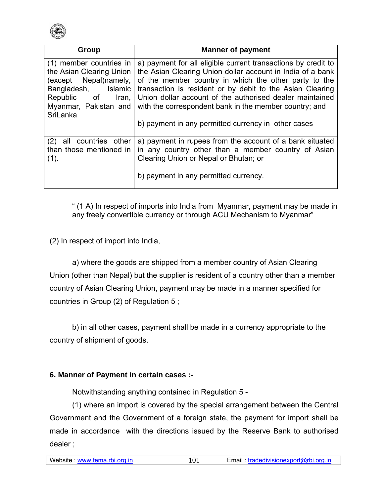

| <b>Manner of payment</b>                                                                                                                                                                                                                                                                                                                                                                                                                                    |
|-------------------------------------------------------------------------------------------------------------------------------------------------------------------------------------------------------------------------------------------------------------------------------------------------------------------------------------------------------------------------------------------------------------------------------------------------------------|
| a) payment for all eligible current transactions by credit to<br>the Asian Clearing Union dollar account in India of a bank<br>the Asian Clearing Union<br>(except Nepal)namely,<br>of the member country in which the other party to the<br>transaction is resident or by debit to the Asian Clearing<br><b>Islamic</b><br>Union dollar account of the authorised dealer maintained<br>Iran, $ $<br>with the correspondent bank in the member country; and |
| b) payment in any permitted currency in other cases                                                                                                                                                                                                                                                                                                                                                                                                         |
| a) payment in rupees from the account of a bank situated<br>in any country other than a member country of Asian<br>Clearing Union or Nepal or Bhutan; or<br>b) payment in any permitted currency.                                                                                                                                                                                                                                                           |
|                                                                                                                                                                                                                                                                                                                                                                                                                                                             |

" (1 A) In respect of imports into India from Myanmar, payment may be made in any freely convertible currency or through ACU Mechanism to Myanmar"

(2) In respect of import into India,

a) where the goods are shipped from a member country of Asian Clearing Union (other than Nepal) but the supplier is resident of a country other than a member country of Asian Clearing Union, payment may be made in a manner specified for countries in Group (2) of Regulation 5 ;

b) in all other cases, payment shall be made in a currency appropriate to the country of shipment of goods.

## **6. Manner of Payment in certain cases :-**

Notwithstanding anything contained in Regulation 5 -

(1) where an import is covered by the special arrangement between the Central Government and the Government of a foreign state, the payment for import shall be made in accordance with the directions issued by the Reserve Bank to authorised dealer ;